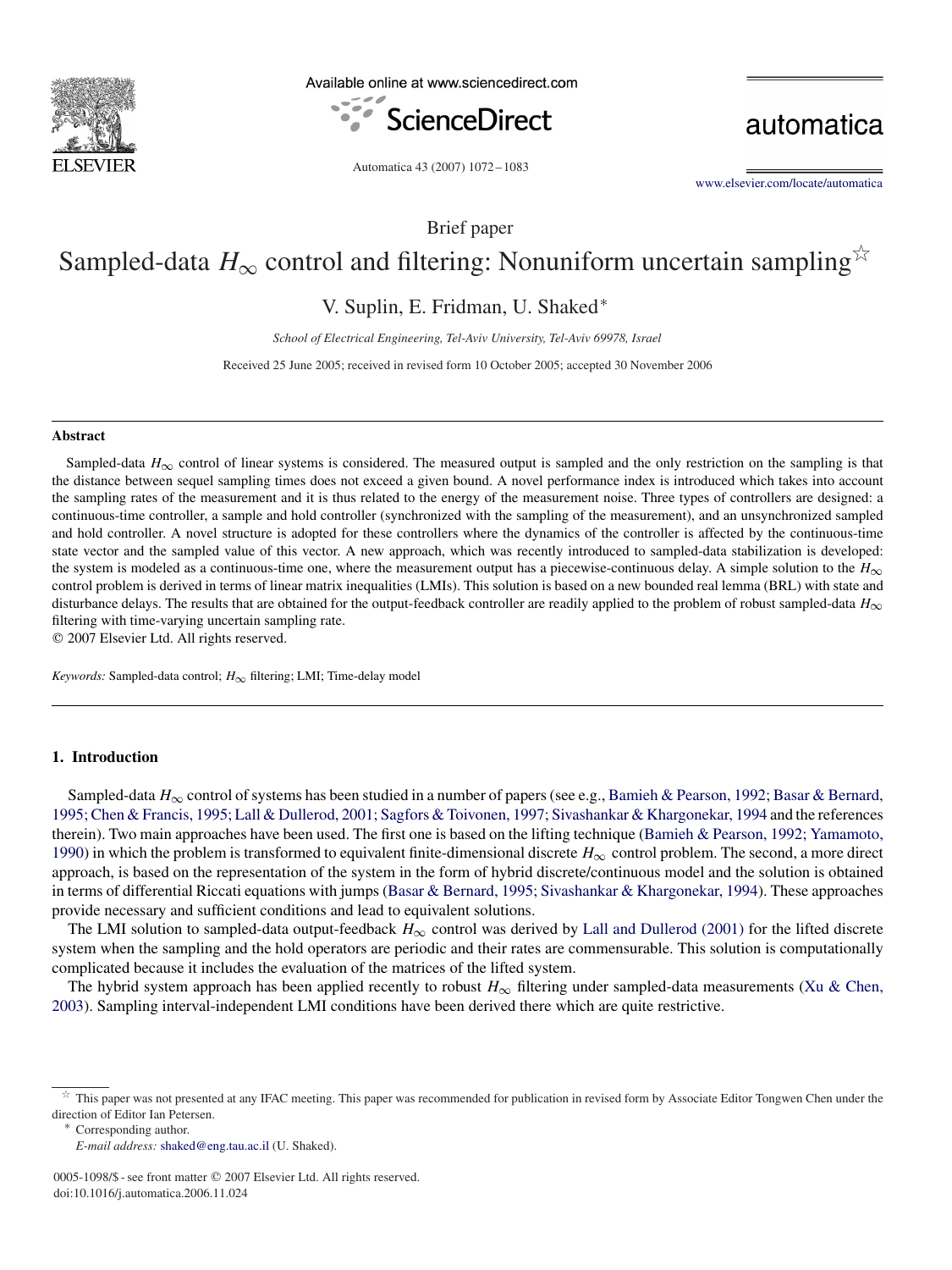

Available online at www.sciencedirect.com



automatica

Automatica 43 (2007) 1072 – 1083

[www.elsevier.com/locate/automatica](http://www.elsevier.com/locate/automatica)

Brief paper

# Sampled-data  $H_{\infty}$  control and filtering: Nonuniform uncertain sampling<sup>\*</sup>

V. Suplin, E. Fridman, U. Shaked<sup>∗</sup>

*School of Electrical Engineering, Tel-Aviv University, Tel-Aviv 69978, Israel*

Received 25 June 2005; received in revised form 10 October 2005; accepted 30 November 2006

### **Abstract**

Sampled-data  $H_{\infty}$  control of linear systems is considered. The measured output is sampled and the only restriction on the sampling is that the distance between sequel sampling times does not exceed a given bound. A novel performance index is introduced which takes into account the sampling rates of the measurement and it is thus related to the energy of the measurement noise. Three types of controllers are designed: a continuous-time controller, a sample and hold controller (synchronized with the sampling of the measurement), and an unsynchronized sampled and hold controller. A novel structure is adopted for these controllers where the dynamics of the controller is affected by the continuous-time state vector and the sampled value of this vector. A new approach, which was recently introduced to sampled-data stabilization is developed: the system is modeled as a continuous-time one, where the measurement output has a piecewise-continuous delay. A simple solution to the  $H_{\infty}$ control problem is derived in terms of linear matrix inequalities (LMIs). This solution is based on a new bounded real lemma (BRL) with state and disturbance delays. The results that are obtained for the output-feedback controller are readily applied to the problem of robust sampled-data *H*<sup>∞</sup> filtering with time-varying uncertain sampling rate.

2007 Elsevier Ltd. All rights reserved.

*Keywords:* Sampled-data control; *H*<sup>∞</sup> filtering; LMI; Time-delay model

## **1. Introduction**

Sampled-data *H*<sub>∞</sub> control of systems has been studied in a number of papers (see e.g., Bamieh & Pearson, 1992; Basar & Bernard, 1995; Chen & Francis, 1995; Lall & Dullerod, 2001; Sagfors & Toivonen, 1997; Sivashankar & Khargonekar, 1994 and the references therein). Two main approaches have been used. The first one is based on the lifting technique (Bamieh & Pearson, 1992; Yamamoto, 1990) in which the problem is transformed to equivalent finite-dimensional discrete *H*<sup>∞</sup> control problem. The second, a more direct approach, is based on the representation of the system in the form of hybrid discrete/continuous model and the solution is obtained in terms of differential Riccati equations with jumps (Basar & Bernard, 1995; Sivashankar & Khargonekar, 1994). These approaches provide necessary and sufficient conditions and lead to equivalent solutions.

The LMI solution to sampled-data output-feedback  $H_{\infty}$  control was derived by [Lall and Dullerod \(2001\)](#page-10-0) for the lifted discrete system when the sampling and the hold operators are periodic and their rates are commensurable. This solution is computationally complicated because it includes the evaluation of the matrices of the lifted system.

The hybrid system approach has been applied recently to robust *H*<sup>∞</sup> filtering under sampled-data measurements [\(Xu & Chen,](#page-10-0) [2003\)](#page-10-0). Sampling interval-independent LMI conditions have been derived there which are quite restrictive.

 $\hat{x}$  This paper was not presented at any IFAC meeting. This paper was recommended for publication in revised form by Associate Editor Tongwen Chen under the direction of Editor Ian Petersen. <sup>∗</sup> Corresponding author.

*E-mail address:* [shaked@eng.tau.ac.il](mailto:shaked@eng.tau.ac.il) (U. Shaked).

<sup>0005-1098/\$ -</sup> see front matter © 2007 Elsevier Ltd. All rights reserved. doi:10.1016/j.automatica.2006.11.024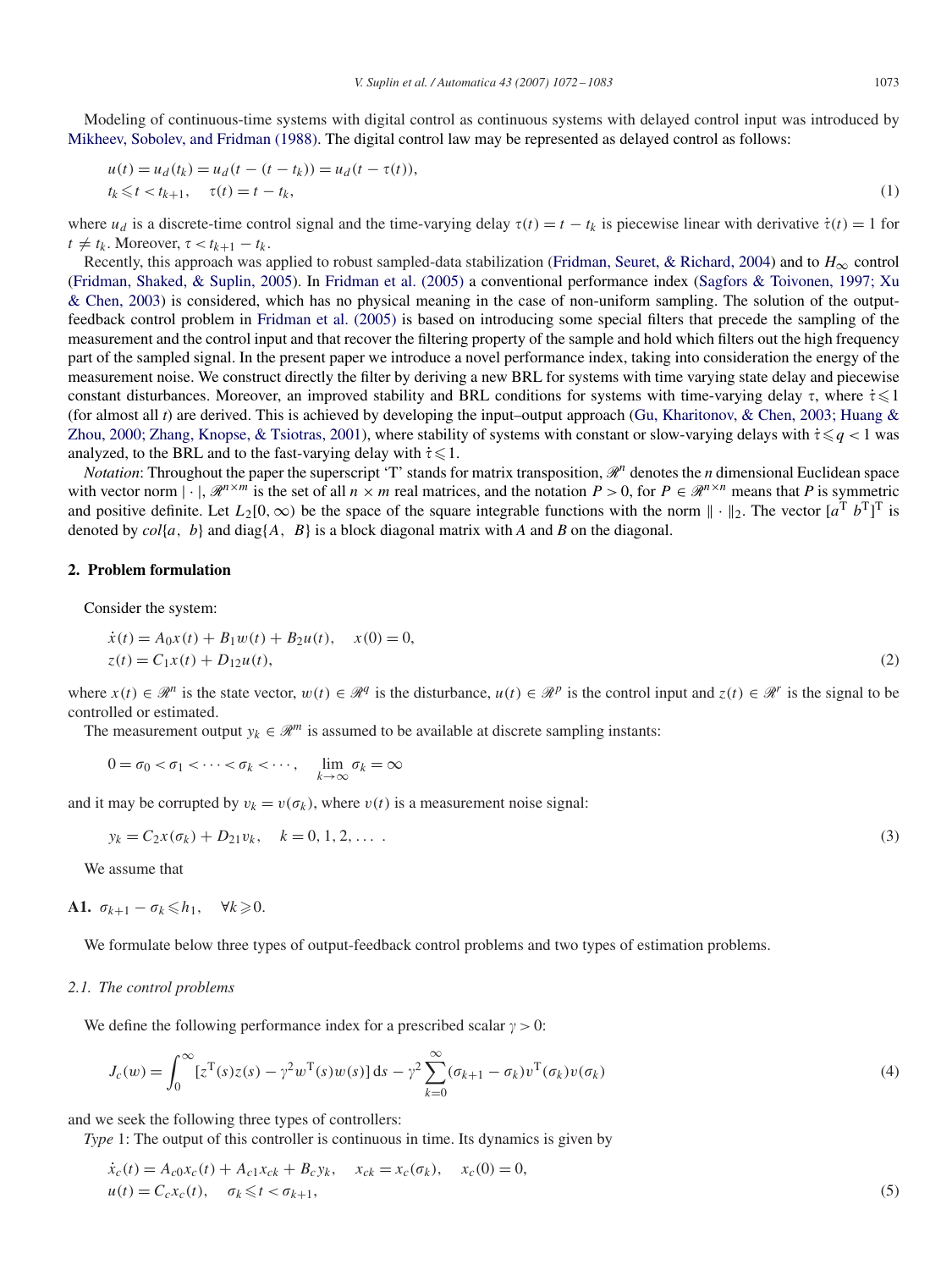Modeling of continuous-time systems with digital control as continuous systems with delayed control input was introduced by [Mikheev, Sobolev, and Fridman \(1988\).](#page-10-0) The digital control law may be represented as delayed control as follows:

$$
u(t) = u_d(t_k) = u_d(t - (t - t_k)) = u_d(t - \tau(t)),
$$
  
\n
$$
t_k \leq t < t_{k+1}, \quad \tau(t) = t - t_k,
$$
\n(1)

where  $u_d$  is a discrete-time control signal and the time-varying delay  $\tau(t) = t - t_k$  is piecewise linear with derivative  $\dot{\tau}(t) = 1$  for  $t \neq t_k$ . Moreover,  $\tau < t_{k+1} - t_k$ .

Recently, this approach was applied to robust sampled-data stabilization [\(Fridman, Seuret, & Richard, 2004\)](#page-10-0) and to  $H_{\infty}$  control [\(Fridman, Shaked, & Suplin, 2005\)](#page-10-0). In [Fridman et al. \(2005\)](#page-10-0) a conventional performance index (Sagfors & Toivonen, 1997; Xu & Chen, 2003) is considered, which has no physical meaning in the case of non-uniform sampling. The solution of the outputfeedback control problem in [Fridman et al. \(2005\)](#page-10-0) is based on introducing some special filters that precede the sampling of the measurement and the control input and that recover the filtering property of the sample and hold which filters out the high frequency part of the sampled signal. In the present paper we introduce a novel performance index, taking into consideration the energy of the measurement noise. We construct directly the filter by deriving a new BRL for systems with time varying state delay and piecewise constant disturbances. Moreover, an improved stability and BRL conditions for systems with time-varying delay  $\tau$ , where  $\dot{\tau} \leq 1$ (for almost all *t*) are derived. This is achieved by developing the input–output approach (Gu, Kharitonov, & Chen, 2003; Huang & Zhou, 2000; Zhang, Knopse, & Tsiotras, 2001), where stability of systems with constant or slow-varying delays with  $\dot{\tau} \leq q < 1$  was analyzed, to the BRL and to the fast-varying delay with  $\dot{\tau} \leq 1$ .

*Notation*: Throughout the paper the superscript 'T' stands for matrix transposition,  $\mathcal{R}^n$  denotes the *n* dimensional Euclidean space with vector norm  $|\cdot|$ ,  $\mathcal{R}^{n \times m}$  is the set of all  $n \times m$  real matrices, and the notation  $P > 0$ , for  $P \in \mathcal{R}^{n \times n}$  means that P is symmetric and positive definite. Let  $L_2[0,\infty)$  be the space of the square integrable functions with the norm  $\|\cdot\|_2$ . The vector  $[a^T b^T]^T$  is denoted by  $col{a, b}$  and diag{ $A, B$ } is a block diagonal matrix with  $A$  and  $B$  on the diagonal.

## **2. Problem formulation**

Consider the system:

$$
\begin{aligned} \dot{x}(t) &= A_0 x(t) + B_1 w(t) + B_2 u(t), \quad x(0) = 0, \\ z(t) &= C_1 x(t) + D_1 u(t), \end{aligned} \tag{2}
$$

where  $x(t) \in \mathbb{R}^n$  is the state vector,  $w(t) \in \mathbb{R}^q$  is the disturbance,  $u(t) \in \mathbb{R}^p$  is the control input and  $z(t) \in \mathbb{R}^r$  is the signal to be controlled or estimated.

The measurement output  $y_k \in \mathcal{R}^m$  is assumed to be available at discrete sampling instants:

$$
0 = \sigma_0 < \sigma_1 < \cdots < \sigma_k < \cdots, \quad \lim_{k \to \infty} \sigma_k = \infty
$$

and it may be corrupted by  $v_k = v(\sigma_k)$ , where  $v(t)$  is a measurement noise signal:

$$
y_k = C_2 x(\sigma_k) + D_{21} v_k, \quad k = 0, 1, 2, \dots
$$
\n(3)

We assume that

**A1.** 
$$
\sigma_{k+1} - \sigma_k \leq h_1
$$
,  $\forall k \geq 0$ .

We formulate below three types of output-feedback control problems and two types of estimation problems.

### *2.1. The control problems*

We define the following performance index for a prescribed scalar  $\gamma > 0$ :

$$
J_c(w) = \int_0^\infty [z^{\mathrm{T}}(s)z(s) - \gamma^2 w^{\mathrm{T}}(s)w(s)] ds - \gamma^2 \sum_{k=0}^\infty (\sigma_{k+1} - \sigma_k) v^{\mathrm{T}}(\sigma_k) v(\sigma_k)
$$
(4)

and we seek the following three types of controllers:

*Type* 1: The output of this controller is continuous in time. Its dynamics is given by

$$
\dot{x}_c(t) = A_{c0}x_c(t) + A_{c1}x_{ck} + B_cy_k, \quad x_{ck} = x_c(\sigma_k), \quad x_c(0) = 0,
$$
  
\n
$$
u(t) = C_cx_c(t), \quad \sigma_k \leq t < \sigma_{k+1},
$$
\n(5)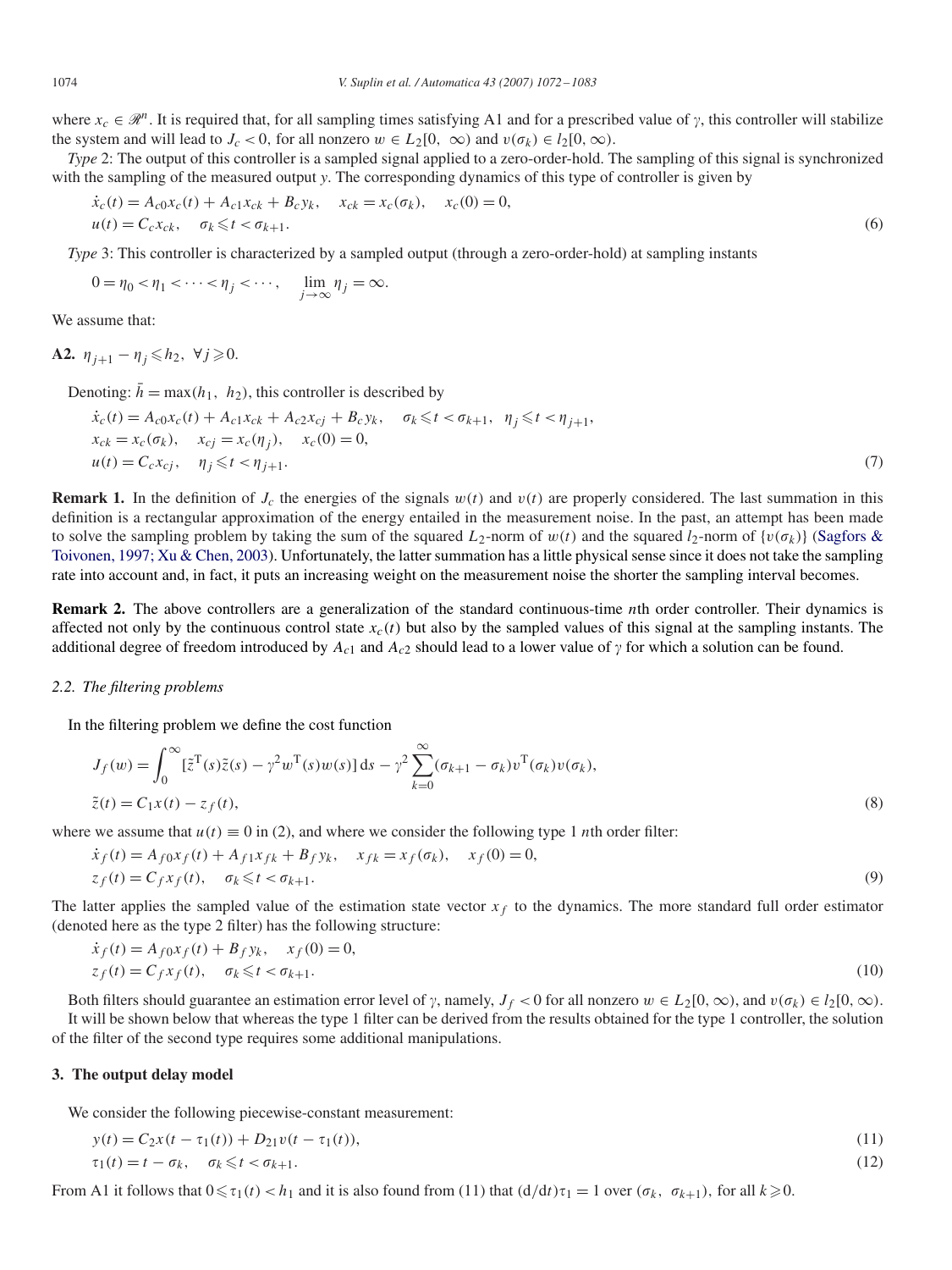where  $x_c \in \mathcal{R}^n$ . It is required that, for all sampling times satisfying A1 and for a prescribed value of  $\gamma$ , this controller will stabilize the system and will lead to  $J_c < 0$ , for all nonzero  $w \in L_2[0, \infty)$  and  $v(\sigma_k) \in l_2[0, \infty)$ .

*Type* 2: The output of this controller is a sampled signal applied to a zero-order-hold. The sampling of this signal is synchronized with the sampling of the measured output *y*. The corresponding dynamics of this type of controller is given by

$$
\dot{x}_c(t) = A_{c0}x_c(t) + A_{c1}x_{ck} + B_cy_k, \quad x_{ck} = x_c(\sigma_k), \quad x_c(0) = 0,
$$
  
\n
$$
u(t) = C_cx_{ck}, \quad \sigma_k \leq t < \sigma_{k+1}.
$$
\n
$$
(6)
$$

*Type* 3: This controller is characterized by a sampled output (through a zero-order-hold) at sampling instants

$$
0 = \eta_0 < \eta_1 < \cdots < \eta_j < \cdots, \quad \lim_{j \to \infty} \eta_j = \infty.
$$

We assume that:

**A2.**  $\eta_{j+1} - \eta_j \le h_2$ , ∀*j* ≥0.

Denoting:  $\bar{h} = \max(h_1, h_2)$ , this controller is described by

$$
\begin{aligned}\n\dot{x}_c(t) &= A_{c0}x_c(t) + A_{c1}x_{ck} + A_{c2}x_{cj} + B_cy_k, \quad \sigma_k \leq t < \sigma_{k+1}, \ \eta_j \leq t < \eta_{j+1}, \\
x_{ck} &= x_c(\sigma_k), \quad x_{cj} = x_c(\eta_j), \quad x_c(0) = 0, \\
u(t) &= C_cx_{cj}, \quad \eta_j \leq t < \eta_{j+1}.\n\end{aligned} \tag{7}
$$

**Remark 1.** In the definition of  $J_c$  the energies of the signals  $w(t)$  and  $v(t)$  are properly considered. The last summation in this definition is a rectangular approximation of the energy entailed in the measurement noise. In the past, an attempt has been made to solve the sampling problem by taking the sum of the squared  $L_2$ -norm of  $w(t)$  and the squared  $l_2$ -norm of  $\{v(\sigma_k)\}\$  (Sagfors & Toivonen, 1997; Xu & Chen, 2003). Unfortunately, the latter summation has a little physical sense since it does not take the sampling rate into account and, in fact, it puts an increasing weight on the measurement noise the shorter the sampling interval becomes.

**Remark 2.** The above controllers are a generalization of the standard continuous-time *n*th order controller. Their dynamics is affected not only by the continuous control state  $x_c(t)$  but also by the sampled values of this signal at the sampling instants. The additional degree of freedom introduced by  $A_{c1}$  and  $A_{c2}$  should lead to a lower value of  $\gamma$  for which a solution can be found.

## *2.2. The filtering problems*

In the filtering problem we define the cost function

$$
J_f(w) = \int_0^\infty [\tilde{z}^{\mathrm{T}}(s)\tilde{z}(s) - \gamma^2 w^{\mathrm{T}}(s)w(s)] ds - \gamma^2 \sum_{k=0}^\infty (\sigma_{k+1} - \sigma_k) v^{\mathrm{T}}(\sigma_k) v(\sigma_k),
$$
  

$$
\tilde{z}(t) = C_1 x(t) - z_f(t),
$$
 (8)

where we assume that  $u(t) \equiv 0$  in (2), and where we consider the following type 1 *n*th order filter:

$$
\dot{x}_f(t) = A_{f0}x_f(t) + A_{f1}x_{fk} + B_fy_k, \quad x_{fk} = x_f(\sigma_k), \quad x_f(0) = 0,
$$
  
\n
$$
z_f(t) = C_fx_f(t), \quad \sigma_k \le t < \sigma_{k+1}.
$$
\n(9)

The latter applies the sampled value of the estimation state vector *xf* to the dynamics. The more standard full order estimator (denoted here as the type 2 filter) has the following structure:

$$
\begin{aligned} \dot{x}_f(t) &= A_{f0}x_f(t) + B_f y_k, \quad x_f(0) = 0, \\ z_f(t) &= C_f x_f(t), \quad \sigma_k \leq t < \sigma_{k+1}. \end{aligned} \tag{10}
$$

Both filters should guarantee an estimation error level of  $\gamma$ , namely,  $J_f < 0$  for all nonzero  $w \in L_2[0, \infty)$ , and  $v(\sigma_k) \in l_2[0, \infty)$ . It will be shown below that whereas the type 1 filter can be derived from the results obtained for the type 1 controller, the solution of the filter of the second type requires some additional manipulations.

#### **3. The output delay model**

We consider the following piecewise-constant measurement:

$$
y(t) = C_2 x(t - \tau_1(t)) + D_{21} v(t - \tau_1(t)),
$$
  
\n
$$
\tau_1(t) = t - \sigma_k, \quad \sigma_k \leq t < \sigma_{k+1}.
$$
\n
$$
(12)
$$

From A1 it follows that  $0 \le \tau_1(t) < h_1$  and it is also found from (11) that  $(d/dt)\tau_1 = 1$  over  $(\sigma_k, \sigma_{k+1})$ , for all  $k \ge 0$ .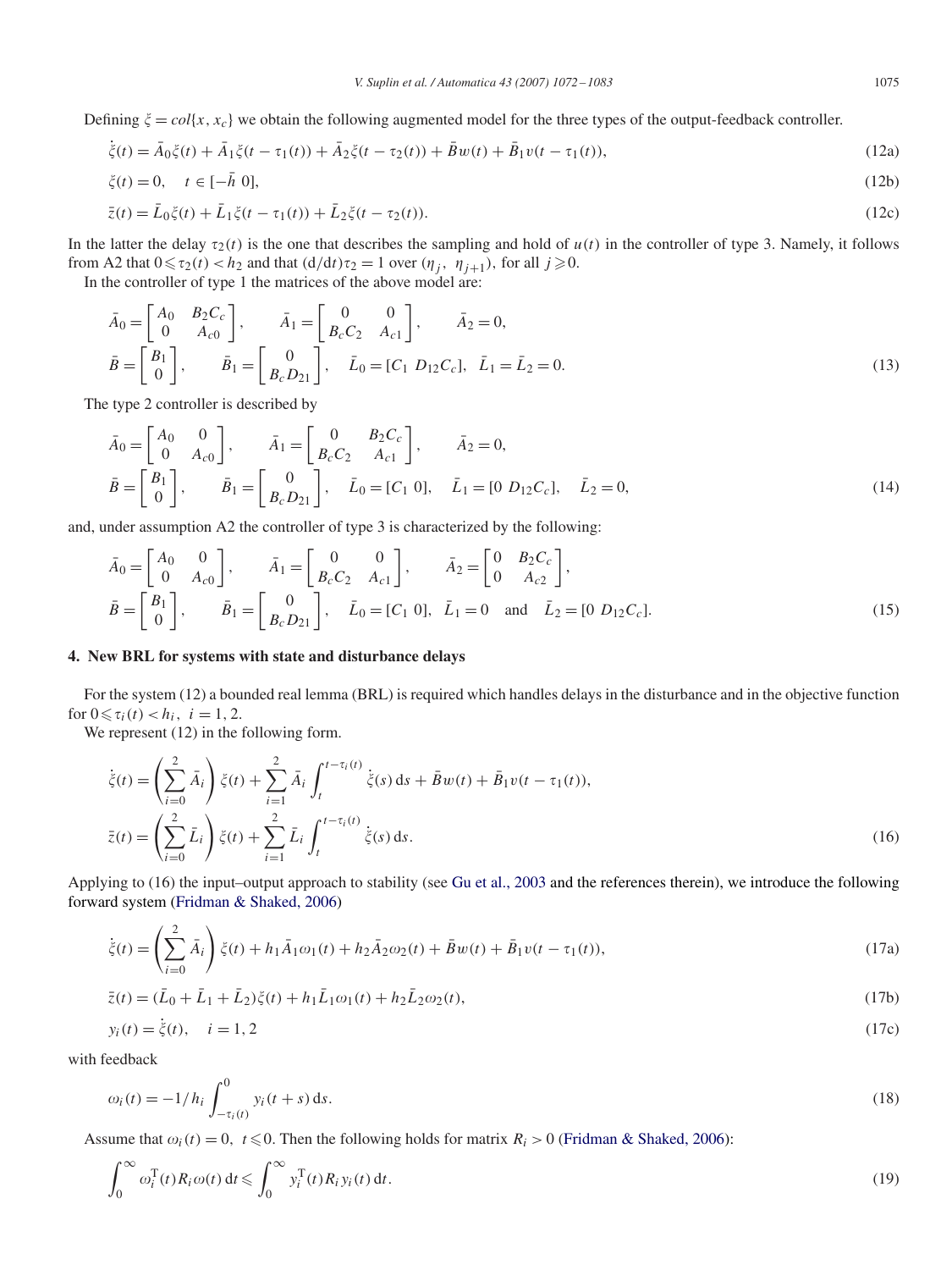Defining  $\xi = col\{x, x_c\}$  we obtain the following augmented model for the three types of the output-feedback controller.

$$
\dot{\xi}(t) = \bar{A}_0 \xi(t) + \bar{A}_1 \xi(t - \tau_1(t)) + \bar{A}_2 \xi(t - \tau_2(t)) + \bar{B}_2 w(t) + \bar{B}_1 v(t - \tau_1(t)),
$$
\n(12a)

$$
\xi(t) = 0, \quad t \in [-\bar{h} \ 0],\tag{12b}
$$

$$
\bar{z}(t) = \bar{L}_0 \xi(t) + \bar{L}_1 \xi(t - \tau_1(t)) + \bar{L}_2 \xi(t - \tau_2(t)).
$$
\n(12c)

In the latter the delay  $\tau_2(t)$  is the one that describes the sampling and hold of  $u(t)$  in the controller of type 3. Namely, it follows from A2 that  $0 \le \tau_2(t) < h_2$  and that  $(d/dt)\tau_2 = 1$  over  $(\eta_j, \eta_{j+1})$ , for all  $j \ge 0$ .

In the controller of type 1 the matrices of the above model are:

$$
\bar{A}_0 = \begin{bmatrix} A_0 & B_2 C_c \\ 0 & A_{c0} \end{bmatrix}, \qquad \bar{A}_1 = \begin{bmatrix} 0 & 0 \\ B_c C_2 & A_{c1} \end{bmatrix}, \qquad \bar{A}_2 = 0,
$$
\n
$$
\bar{B} = \begin{bmatrix} B_1 \\ 0 \end{bmatrix}, \qquad \bar{B}_1 = \begin{bmatrix} 0 \\ B_c D_{21} \end{bmatrix}, \qquad \bar{L}_0 = [C_1 \ D_{12} C_c], \quad \bar{L}_1 = \bar{L}_2 = 0.
$$
\n(13)

The type 2 controller is described by

$$
\bar{A}_0 = \begin{bmatrix} A_0 & 0 \\ 0 & A_{c0} \end{bmatrix}, \qquad \bar{A}_1 = \begin{bmatrix} 0 & B_2 C_c \\ B_c C_2 & A_{c1} \end{bmatrix}, \qquad \bar{A}_2 = 0,
$$
\n
$$
\bar{B} = \begin{bmatrix} B_1 \\ 0 \end{bmatrix}, \qquad \bar{B}_1 = \begin{bmatrix} 0 \\ B_c D_{21} \end{bmatrix}, \qquad \bar{L}_0 = [C_1 \ 0], \qquad \bar{L}_1 = [0 \ D_{12} C_c], \qquad \bar{L}_2 = 0,
$$
\n(14)

and, under assumption A2 the controller of type 3 is characterized by the following:

$$
\bar{A}_0 = \begin{bmatrix} A_0 & 0 \\ 0 & A_{c0} \end{bmatrix}, \qquad \bar{A}_1 = \begin{bmatrix} 0 & 0 \\ B_c C_2 & A_{c1} \end{bmatrix}, \qquad \bar{A}_2 = \begin{bmatrix} 0 & B_2 C_c \\ 0 & A_{c2} \end{bmatrix},
$$
\n
$$
\bar{B} = \begin{bmatrix} B_1 \\ 0 \end{bmatrix}, \qquad \bar{B}_1 = \begin{bmatrix} 0 \\ B_c D_{21} \end{bmatrix}, \qquad \bar{L}_0 = [C_1 \ 0], \quad \bar{L}_1 = 0 \quad \text{and} \quad \bar{L}_2 = [0 \ D_{12} C_c].
$$
\n(15)

# **4. New BRL for systems with state and disturbance delays**

For the system (12) a bounded real lemma (BRL) is required which handles delays in the disturbance and in the objective function for  $0 \le \tau_i(t) < h_i, i = 1, 2$ .

We represent  $(12)$  in the following form.

 $\sim$ 

 $\overline{2}$ 

$$
\dot{\xi}(t) = \left(\sum_{i=0}^{2} \bar{A}_i\right) \xi(t) + \sum_{i=1}^{2} \bar{A}_i \int_t^{t-\tau_i(t)} \dot{\xi}(s) \, ds + \bar{B}w(t) + \bar{B}_1 v(t - \tau_1(t)),
$$
\n
$$
\bar{z}(t) = \left(\sum_{i=0}^{2} \bar{L}_i\right) \xi(t) + \sum_{i=1}^{2} \bar{L}_i \int_t^{t-\tau_i(t)} \dot{\xi}(s) \, ds.
$$
\n(16)

Applying to (16) the input–output approach to stability (see [Gu et al., 2003](#page-10-0) and the references therein), we introduce the following forward system [\(Fridman & Shaked, 2006\)](#page-10-0)

$$
\dot{\xi}(t) = \left(\sum_{i=0}^{2} \bar{A}_i\right) \xi(t) + h_1 \bar{A}_1 \omega_1(t) + h_2 \bar{A}_2 \omega_2(t) + \bar{B} w(t) + \bar{B}_1 v(t - \tau_1(t)),\tag{17a}
$$

$$
\bar{z}(t) = (\bar{L}_0 + \bar{L}_1 + \bar{L}_2)\xi(t) + h_1\bar{L}_1\omega_1(t) + h_2\bar{L}_2\omega_2(t),
$$
\n(17b)

$$
y_i(t) = \dot{\xi}(t), \quad i = 1, 2 \tag{17c}
$$

with feedback

$$
\omega_i(t) = -1/h_i \int_{-\tau_i(t)}^0 y_i(t+s) \, ds. \tag{18}
$$

Assume that  $\omega_i(t) = 0$ ,  $t \le 0$ . Then the following holds for matrix  $R_i > 0$  [\(Fridman & Shaked, 2006\)](#page-10-0):

$$
\int_0^\infty \omega_i^{\mathrm{T}}(t) R_i \omega(t) \, \mathrm{d}t \leqslant \int_0^\infty y_i^{\mathrm{T}}(t) R_i y_i(t) \, \mathrm{d}t. \tag{19}
$$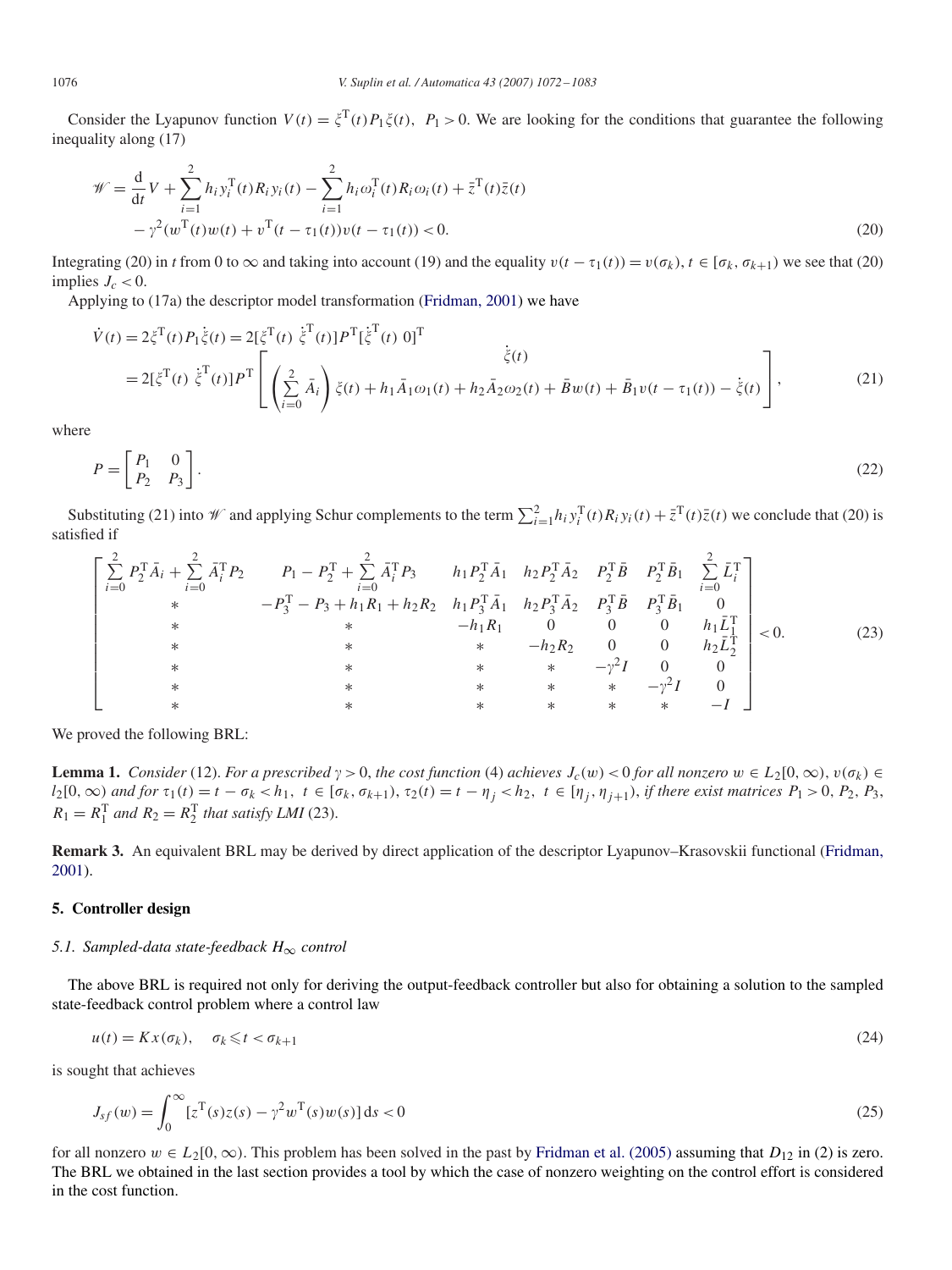Consider the Lyapunov function  $V(t) = \zeta^{T}(t)P_1\zeta(t)$ ,  $P_1 > 0$ . We are looking for the conditions that guarantee the following inequality along (17)

$$
\mathcal{W} = \frac{d}{dt}V + \sum_{i=1}^{2} h_i y_i^T(t) R_i y_i(t) - \sum_{i=1}^{2} h_i \omega_i^T(t) R_i \omega_i(t) + \bar{z}^T(t) \bar{z}(t) \n- \gamma^2 (w^T(t)w(t) + v^T(t - \tau_1(t))v(t - \tau_1(t)) < 0.
$$
\n(20)

Integrating (20) in *t* from 0 to  $\infty$  and taking into account (19) and the equality  $v(t - \tau_1(t)) = v(\sigma_k)$ ,  $t \in [\sigma_k, \sigma_{k+1}]$  we see that (20) implies  $J_c < 0$ .

Applying to (17a) the descriptor model transformation [\(Fridman, 2001\)](#page-10-0) we have

$$
\dot{V}(t) = 2\xi^{T}(t)P_{1}\dot{\xi}(t) = 2[\xi^{T}(t) \dot{\xi}^{T}(t)]P^{T}[\dot{\xi}^{T}(t) 0]^{T}
$$
\n
$$
= 2[\xi^{T}(t) \dot{\xi}^{T}(t)]P^{T}\left[\left(\sum_{i=0}^{2} \bar{A}_{i}\right)\xi(t) + h_{1}\bar{A}_{1}\omega_{1}(t) + h_{2}\bar{A}_{2}\omega_{2}(t) + \bar{B}w(t) + \bar{B}_{1}v(t - \tau_{1}(t)) - \dot{\xi}(t)\right],
$$
\n(21)

where

$$
P = \begin{bmatrix} P_1 & 0 \\ P_2 & P_3 \end{bmatrix} . \tag{22}
$$

Substituting (21) into  $\mathcal{W}$  and applying Schur complements to the term  $\sum_{i=1}^{2} h_i y_i^{\mathrm{T}}(t) R_i y_i(t) + \bar{z}^{\mathrm{T}}(t) \bar{z}(t)$  we conclude that (20) is satisfied if

$$
\begin{bmatrix}\n\sum_{i=0}^{2} P_{2}^{T} \bar{A}_{i} + \sum_{i=0}^{2} \bar{A}_{i}^{T} P_{2} & P_{1} - P_{2}^{T} + \sum_{i=0}^{2} \bar{A}_{i}^{T} P_{3} & h_{1} P_{2}^{T} \bar{A}_{1} & h_{2} P_{2}^{T} \bar{A}_{2} & P_{2}^{T} \bar{B} & P_{2}^{T} \bar{B}_{1} & \sum_{i=0}^{2} \bar{L}_{i}^{T} \\
* & -P_{3}^{T} - P_{3} + h_{1} R_{1} + h_{2} R_{2} & h_{1} P_{3}^{T} \bar{A}_{1} & h_{2} P_{3}^{T} \bar{A}_{2} & P_{3}^{T} \bar{B} & P_{3}^{T} \bar{B}_{1} & 0 \\
* & * & -h_{1} R_{1} & 0 & 0 & 0 & h_{1} \bar{L}_{1}^{T} \\
* & * & * & * & -h_{2} R_{2} & 0 & 0 & h_{2} \bar{L}_{2}^{T} \\
* & * & * & * & * & -\gamma^{2} I & 0 & 0 \\
* & * & * & * & * & * & -\gamma^{2} I & 0 \\
* & * & * & * & * & * & -I\n\end{bmatrix}
$$
\n(23)

We proved the following BRL:

**Lemma 1.** *Consider* (12). *For a prescribed*  $\gamma > 0$ *, the cost function* (4) *achieves*  $J_c(w) < 0$  *for all nonzero*  $w \in L_2(0, \infty)$ *,*  $v(\sigma_k) \in$  $l_2[0,\infty)$  and for  $\tau_1(t) = t - \sigma_k < h_1$ ,  $t \in [\sigma_k, \sigma_{k+1}), \tau_2(t) = t - \eta_j < h_2$ ,  $t \in [\eta_j, \eta_{j+1}),$  if there exist matrices  $P_1 > 0$ ,  $P_2$ ,  $P_3$ ,  $R_1 = R_1^T$  *and*  $R_2 = R_2^T$  *that satisfy LMI* (23).

**Remark 3.** An equivalent BRL may be derived by direct application of the descriptor Lyapunov–Krasovskii functional (Fridman, 2001[\).](#page-10-0)

# **5. Controller design**

#### *5.1. Sampled-data state-feedback H*<sup>∞</sup> *control*

The above BRL is required not only for deriving the output-feedback controller but also for obtaining a solution to the sampled state-feedback control problem where a control law

$$
u(t) = Kx(\sigma_k), \quad \sigma_k \leq t < \sigma_{k+1} \tag{24}
$$

is sought that achieves

$$
J_{sf}(w) = \int_0^\infty [z^{\mathrm{T}}(s)z(s) - \gamma^2 w^{\mathrm{T}}(s)w(s)] ds < 0
$$
\n(25)

for all nonzero  $w \in L_2[0, \infty)$ . This problem has been solved in the past by [Fridman et al. \(2005\)](#page-10-0) assuming that  $D_{12}$  in (2) is zero. The BRL we obtained in the last section provides a tool by which the case of nonzero weighting on the control effort is considered in the cost function.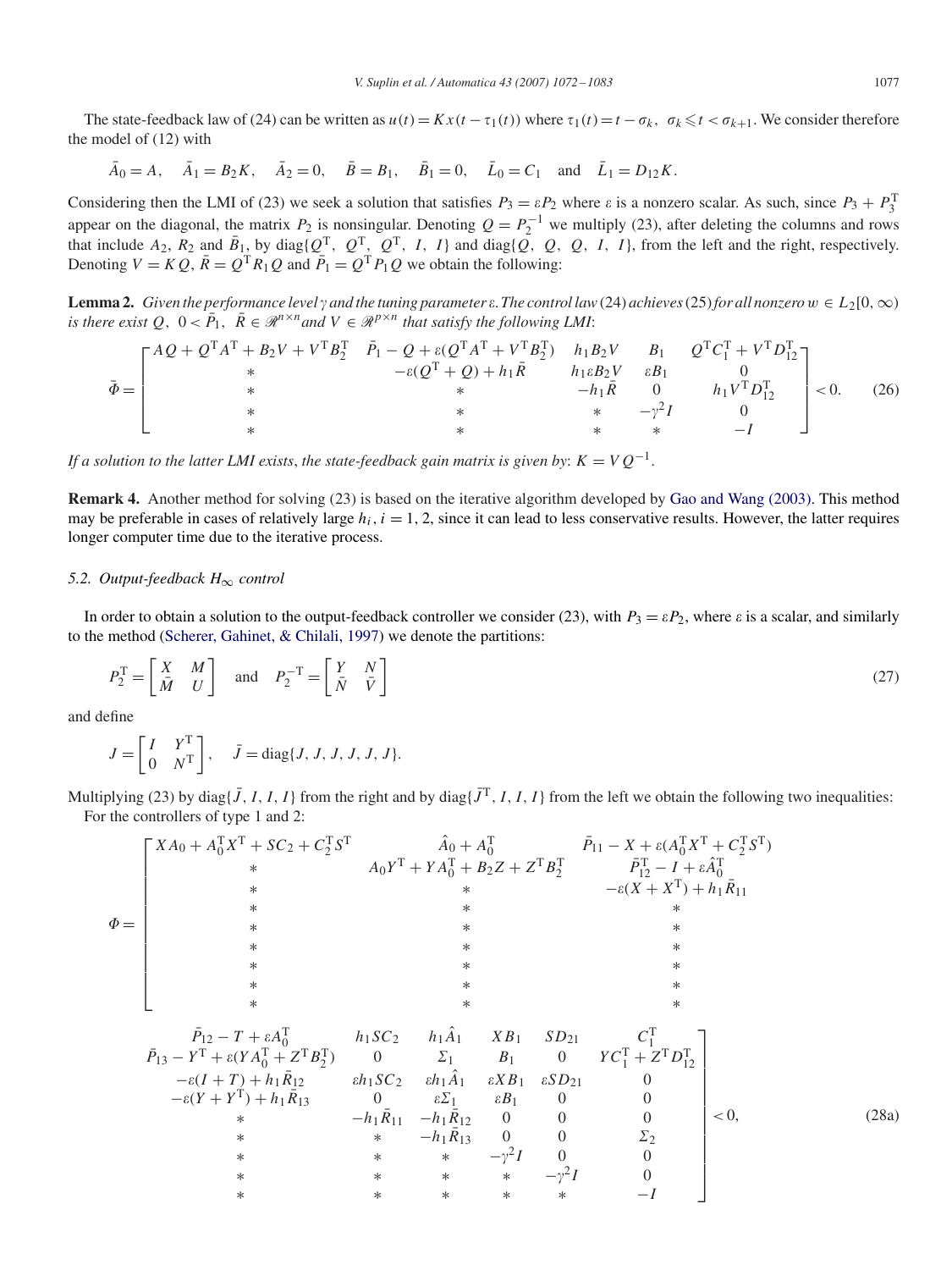The state-feedback law of (24) can be written as  $u(t) = Kx(t - \tau_1(t))$  where  $\tau_1(t) = t - \sigma_k$ ,  $\sigma_k \le t < \sigma_{k+1}$ . We consider therefore the model of (12) with

 $\bar{A}_0 = A$ ,  $\bar{A}_1 = B_2 K$ ,  $\bar{A}_2 = 0$ ,  $\bar{B} = B_1$ ,  $\bar{B}_1 = 0$ ,  $\bar{L}_0 = C_1$  and  $\bar{L}_1 = D_{12} K$ .

Considering then the LMI of (23) we seek a solution that satisfies  $P_3 = \varepsilon P_2$  where  $\varepsilon$  is a nonzero scalar. As such, since  $P_3 + P_3^T$ appear on the diagonal, the matrix *P*<sub>2</sub> is nonsingular. Denoting  $Q = P_2^{-1}$  we multiply (23), after deleting the columns and rows that include  $A_2$ ,  $R_2$  and  $\bar{B}_1$ , by diag{ $Q^T$ ,  $Q^T$ ,  $Q^T$ ,  $I$ ,  $I$ } and diag{ $\tilde{Q}$ ,  $Q$ ,  $Q$ ,  $I$ ,  $I$ }, from the left and the right, respectively. Denoting  $V = KQ$ ,  $\overline{R} = Q^T R_1 Q$  and  $\overline{P}_1 = Q^T P_1 Q$  we obtain the following:

**Lemma 2.** *Given the performance level*  $\gamma$  *and the tuning parameter*  $\varepsilon$ . *The control law*(24) *achieves*(25) *for all nonzero*  $w \in L_2[0,\infty)$ *is there exist*  $Q$ ,  $0 < \overline{P_1}$ ,  $\overline{R} \in \mathcal{R}^{n \times n}$  *and*  $V \in \mathcal{R}^{p \times n}$  *that satisfy the following LMI*:

$$
\bar{\Phi} = \begin{bmatrix} AQ + Q^{T}A^{T} + B_{2}V + V^{T}B_{2}^{T} & \bar{P}_{1} - Q + \varepsilon(Q^{T}A^{T} + V^{T}B_{2}^{T}) & h_{1}B_{2}V & B_{1} & Q^{T}C_{1}^{T} + V^{T}D_{12}^{T} \\ * & -\varepsilon(Q^{T} + Q) + h_{1}\bar{R} & h_{1}\varepsilon B_{2}V & \varepsilon B_{1} & 0 \\ * & * & * & -h_{1}\bar{R} & 0 & h_{1}V^{T}D_{12}^{T} \\ * & * & * & * & -I \end{bmatrix} < 0.
$$
 (26)

*If a solution to the latter LMI exists, the state-feedback gain matrix is given by:*  $K = VQ^{-1}$ .

**Remark 4.** Another method for solving (23) is based on the iterative algorithm developed by [Gao and Wang \(2003\).](#page-10-0) This method may be preferable in cases of relatively large  $h_i$ ,  $i = 1, 2$ , since it can lead to less conservative results. However, the latter requires longer computer time due to the iterative process.

#### *5.2. Output-feedback H*<sup>∞</sup> *control*

In order to obtain a solution to the output-feedback controller we consider (23), with  $P_3 = \varepsilon P_2$ , where  $\varepsilon$  is a scalar, and similarly to the method [\(Scherer, Gahinet, & Chilali, 1997\)](#page-10-0) we denote the partitions:

$$
P_2^{\mathrm{T}} = \begin{bmatrix} X & M \\ \bar{M} & U \end{bmatrix} \text{ and } P_2^{-\mathrm{T}} = \begin{bmatrix} Y & N \\ \bar{N} & \bar{V} \end{bmatrix}
$$
 (27)

and define

$$
J = \begin{bmatrix} I & Y^{\mathrm{T}} \\ 0 & N^{\mathrm{T}} \end{bmatrix}, \quad \bar{J} = \mathrm{diag}\{J, J, J, J, J, J\}.
$$

Multiplying (23) by diag{*J*, *I*, *I*, *I*} from the right and by diag{*J*<sup>T</sup>, *I*, *I*, *I*} from the left we obtain the following two inequalities: For the controllers of type 1 and 2:

|          | $\begin{bmatrix} X A_0 + A_0^{\mathrm{T}} X^{\mathrm{T}} + S C_2 + C_2^{\mathrm{T}} S^{\mathrm{T}} \end{bmatrix}$                                                     |        |                                                                                                                                  |        |              | $\hat{A}_0 + A_0^{\rm T}$ $\qquad \qquad \bar{P}_{11} - X + \varepsilon (A_0^{\rm T} X^{\rm T} + C_2^{\rm T} S^{\rm T})$                               |         |       |
|----------|-----------------------------------------------------------------------------------------------------------------------------------------------------------------------|--------|----------------------------------------------------------------------------------------------------------------------------------|--------|--------------|--------------------------------------------------------------------------------------------------------------------------------------------------------|---------|-------|
|          |                                                                                                                                                                       |        |                                                                                                                                  |        |              | $A_0Y^{\text{T}} + YA_0^{\text{T}} + B_2Z + Z^{\text{T}}B_2^{\text{T}}$ $\qquad \qquad \bar{P}_{12}^{\text{T}} - I + \varepsilon \hat{A}_0^{\text{T}}$ |         |       |
|          |                                                                                                                                                                       |        |                                                                                                                                  |        |              | $-\varepsilon (X + X^{\mathrm{T}}) + h_1 \bar{R}_{11}$                                                                                                 |         |       |
|          |                                                                                                                                                                       |        |                                                                                                                                  |        |              |                                                                                                                                                        |         |       |
| $\Phi =$ |                                                                                                                                                                       |        |                                                                                                                                  |        |              |                                                                                                                                                        |         |       |
|          |                                                                                                                                                                       |        |                                                                                                                                  |        |              |                                                                                                                                                        |         |       |
|          |                                                                                                                                                                       |        |                                                                                                                                  |        |              |                                                                                                                                                        |         |       |
|          |                                                                                                                                                                       |        | $\ast$                                                                                                                           |        |              |                                                                                                                                                        |         |       |
|          |                                                                                                                                                                       |        |                                                                                                                                  |        |              |                                                                                                                                                        |         |       |
|          | $\bar{P}_{12} - T + \varepsilon A_0^{\rm T}$ $h_1 SC_2$ $h_1 \hat{A}_1$ $XB_1$ $SD_{21}$ $C_1^{\rm T}$                                                                |        |                                                                                                                                  |        |              |                                                                                                                                                        |         |       |
|          | $\bar{P}_{13} - Y^{\rm T} + \varepsilon (YA_0^{\rm T} + Z^{\rm T}B_2^{\rm T})$ 0 $\Sigma_1$ $B_1$ 0 $YC_1^{\rm T} + Z^{\rm T}D_{12}^{\rm T}$                          |        |                                                                                                                                  |        |              |                                                                                                                                                        |         |       |
|          | $-\varepsilon(I+T) + h_1\overline{R}_{12}$ $\qquad \varepsilon h_1SC_2$ $\qquad \varepsilon h_1\overline{A}_1$ $\qquad \varepsilon XB_1$ $\qquad \varepsilon SD_{21}$ |        |                                                                                                                                  |        |              |                                                                                                                                                        |         |       |
|          | $-\varepsilon (Y + Y^{T}) + h_1 \bar{R}_{13}$                                                                                                                         |        | $\begin{array}{ccc} 0 & \varepsilon \Sigma_1 & \varepsilon B_1 & 0 \\ -h_1 \bar{R}_{11} & -h_1 \bar{R}_{12} & 0 & 0 \end{array}$ |        |              |                                                                                                                                                        |         |       |
|          | $\ast$                                                                                                                                                                |        |                                                                                                                                  |        |              |                                                                                                                                                        | $< 0$ , | (28a) |
|          | $\ast$                                                                                                                                                                | $\ast$ | $-h_1R_{13}$                                                                                                                     | $0$ 0  |              | $\Sigma_2$                                                                                                                                             |         |       |
|          | $\ast$                                                                                                                                                                |        | * * $-\gamma^2 I$ 0                                                                                                              |        |              |                                                                                                                                                        |         |       |
|          | ∗                                                                                                                                                                     | $*$    | $*$ $*$                                                                                                                          | $\ast$ | $-\gamma^2I$ |                                                                                                                                                        |         |       |
|          | $\ast$                                                                                                                                                                | $\ast$ | $\ast$                                                                                                                           | $\ast$ | $\ast$       |                                                                                                                                                        |         |       |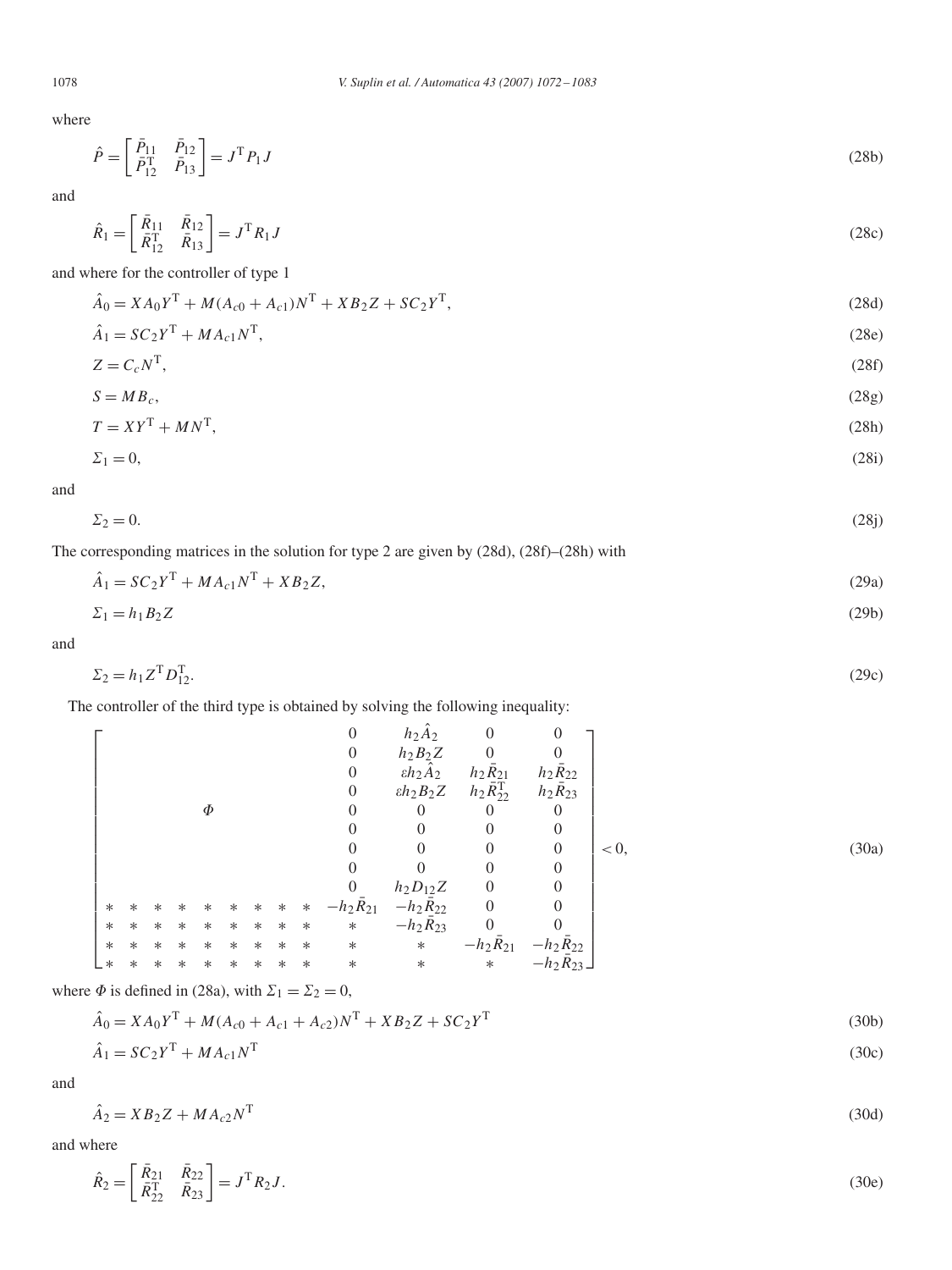where

$$
\hat{P} = \begin{bmatrix} \bar{P}_{11} & \bar{P}_{12} \\ \bar{P}_{12}^{\mathrm{T}} & \bar{P}_{13} \end{bmatrix} = J^{\mathrm{T}} P_1 J \tag{28b}
$$

and

$$
\hat{R}_1 = \begin{bmatrix} \bar{R}_{11} & \bar{R}_{12} \\ \bar{R}_{12}^{\mathrm{T}} & \bar{R}_{13} \end{bmatrix} = J^{\mathrm{T}} R_1 J \tag{28c}
$$

and where for the controller of type 1

$$
\hat{A}_0 = X A_0 Y^{\mathrm{T}} + M (A_{c0} + A_{c1}) N^{\mathrm{T}} + X B_2 Z + S C_2 Y^{\mathrm{T}},\tag{28d}
$$

$$
\hat{A}_1 = SC_2 Y^{\mathrm{T}} + MA_{c1} N^{\mathrm{T}},\tag{28e}
$$

$$
Z = C_c N^{\mathrm{T}},\tag{28f}
$$

$$
S = MB_c,\tag{28g}
$$

$$
T = XYT + MNT,
$$
  
\n
$$
\Sigma_1 = 0,
$$
\n(28h)

and

$$
\Sigma_2 = 0.\tag{28j}
$$

The corresponding matrices in the solution for type 2 are given by (28d), (28f)–(28h) with

$$
\hat{A}_1 = SC_2 Y^{\mathrm{T}} + M A_{c1} N^{\mathrm{T}} + X B_2 Z,\tag{29a}
$$

$$
\Sigma_1 = h_1 B_2 Z \tag{29b}
$$

and

$$
\Sigma_2 = h_1 Z^{\mathsf{T}} D_{12}^{\mathsf{T}}.
$$
\n<sup>(29c)</sup>

The controller of the third type is obtained by solving the following inequality:

$$
\Phi
$$
\n
$$
\Phi
$$
\n
$$
\Phi
$$
\n
$$
\Phi
$$
\n
$$
\Phi
$$
\n
$$
\Phi
$$
\n
$$
\Phi
$$
\n
$$
\Phi
$$
\n
$$
\Phi
$$
\n
$$
\Phi
$$
\n
$$
\Phi
$$
\n
$$
\Phi
$$
\n
$$
\Phi
$$
\n
$$
\Phi
$$
\n
$$
\Phi
$$
\n
$$
\Phi
$$
\n
$$
\Phi
$$
\n
$$
\Phi
$$
\n
$$
\Phi
$$
\n
$$
\Phi
$$
\n
$$
\Phi
$$
\n
$$
\Phi
$$
\n
$$
\Phi
$$
\n
$$
\Phi
$$
\n
$$
\Phi
$$
\n
$$
\Phi
$$
\n
$$
\Phi
$$
\n
$$
\Phi
$$
\n
$$
\Phi
$$
\n
$$
\Phi
$$
\n
$$
\Phi
$$
\n
$$
\Phi
$$
\n
$$
\Phi
$$
\n
$$
\Phi
$$
\n
$$
\Phi
$$
\n
$$
\Phi
$$
\n
$$
\Phi
$$
\n
$$
\Phi
$$
\n
$$
\Phi
$$
\n
$$
\Phi
$$
\n
$$
\Phi
$$
\n
$$
\Phi
$$
\n
$$
\Phi
$$
\n
$$
\Phi
$$
\n
$$
\Phi
$$
\n
$$
\Phi
$$
\n
$$
\Phi
$$
\n
$$
\Phi
$$
\n
$$
\Phi
$$
\n
$$
\Phi
$$
\n
$$
\Phi
$$
\n
$$
\Phi
$$
\n
$$
\Phi
$$
\n
$$
\Phi
$$
\n
$$
\Phi
$$
\n
$$
\Phi
$$
\n
$$
\Phi
$$
\n
$$
\Phi
$$
\n
$$
\Phi
$$
\n
$$
\Phi
$$
\n
$$
\Phi
$$
\n
$$
\Phi
$$
\n
$$
\Phi
$$
\n
$$
\Phi
$$
\n
$$
\Phi
$$
\n
$$
\Phi
$$
\n
$$
\Phi
$$
\n
$$
\Phi
$$
\n
$$
\Phi
$$
\n
$$
\
$$

where  $\Phi$  is defined in (28a), with  $\Sigma_1 = \Sigma_2 = 0$ ,

$$
\hat{A}_0 = X A_0 Y^{\mathrm{T}} + M (A_{c0} + A_{c1} + A_{c2}) N^{\mathrm{T}} + X B_2 Z + S C_2 Y^{\mathrm{T}} \tag{30b}
$$
\n
$$
\hat{A}_1 = S C_2 Y^{\mathrm{T}} + M A_{c1} N^{\mathrm{T}} \tag{30c}
$$

and

$$
\hat{A}_2 = X B_2 Z + M A_{c2} N^{\mathrm{T}} \tag{30d}
$$

and where

$$
\hat{R}_2 = \begin{bmatrix} \bar{R}_{21} & \bar{R}_{22} \\ \bar{R}_{22}^T & \bar{R}_{23} \end{bmatrix} = J^{\mathrm{T}} R_2 J. \tag{30e}
$$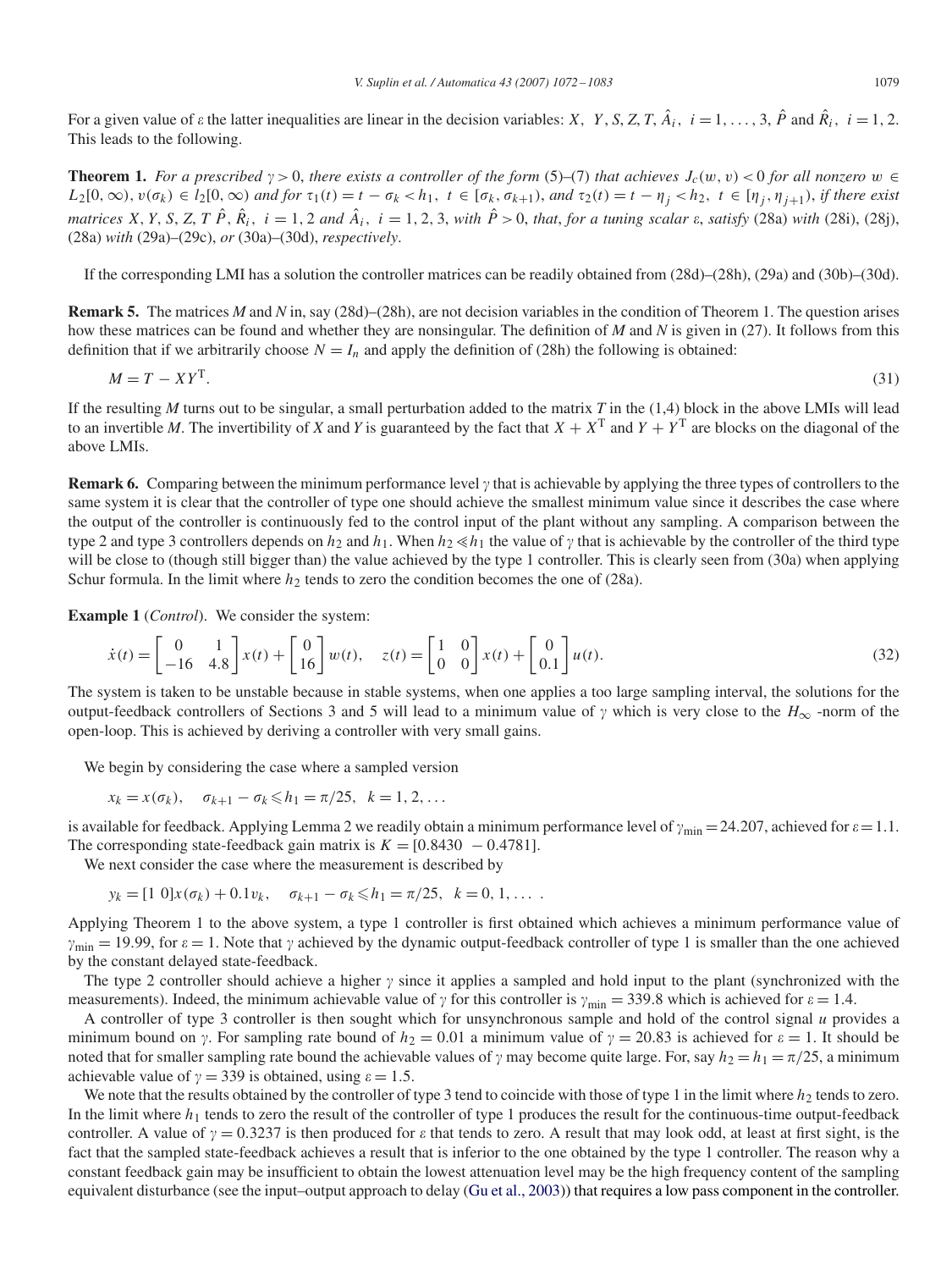For a given value of  $\varepsilon$  the latter inequalities are linear in the decision variables: *X*, *Y*, *S*, *Z*, *T*,  $\hat{A}_i$ ,  $i = 1, \ldots, 3$ ,  $\hat{P}$  and  $\hat{R}_i$ ,  $i = 1, 2$ . This leads to the following.

**Theorem 1.** For a prescribed  $\gamma > 0$ , there exists a controller of the form (5)–(7) that achieves  $J_c(w, v) < 0$  for all nonzero  $w \in$  $L_2[0,\infty), v(\sigma_k) \in l_2[0,\infty)$  and for  $\tau_1(t) = t - \sigma_k < h_1$ ,  $t \in [\sigma_k, \sigma_{k+1}),$  and  $\tau_2(t) = t - \eta_j < h_2$ ,  $t \in [\eta_j, \eta_{j+1}),$  if there exist matrices X, Y, S, Z, T  $\hat{P}$ ,  $\hat{R}_i$ ,  $i = 1, 2$  and  $\hat{A}_i$ ,  $i = 1, 2, 3$ , with  $\hat{P} > 0$ , that, for a tuning scalar  $\varepsilon$ , satisfy (28a) with (28i), (28j), (28a) *with* (29a)–(29c), *or* (30a)–(30d), *respectively*.

If the corresponding LMI has a solution the controller matrices can be readily obtained from (28d)–(28h), (29a) and (30b)–(30d).

**Remark 5.** The matrices *M* and *N* in, say (28d)–(28h), are not decision variables in the condition of Theorem 1. The question arises how these matrices can be found and whether they are nonsingular. The definition of *M* and *N* is given in (27). It follows from this definition that if we arbitrarily choose  $N = I_n$  and apply the definition of (28h) the following is obtained:

$$
M = T - XY^{\mathrm{T}}.\tag{31}
$$

If the resulting *M* turns out to be singular, a small perturbation added to the matrix *T* in the  $(1,4)$  block in the above LMIs will lead to an invertible *M*. The invertibility of *X* and *Y* is guaranteed by the fact that  $X + X^T$  and  $Y + Y^T$  are blocks on the diagonal of the above LMIs.

**Remark 6.** Comparing between the minimum performance level  $\gamma$  that is achievable by applying the three types of controllers to the same system it is clear that the controller of type one should achieve the smallest minimum value since it describes the case where the output of the controller is continuously fed to the control input of the plant without any sampling. A comparison between the type 2 and type 3 controllers depends on  $h_2$  and  $h_1$ . When  $h_2 \ll h_1$  the value of  $\gamma$  that is achievable by the controller of the third type will be close to (though still bigger than) the value achieved by the type 1 controller. This is clearly seen from (30a) when applying Schur formula. In the limit where  $h_2$  tends to zero the condition becomes the one of (28a).

**Example 1** (*Control*). We consider the system:

$$
\dot{x}(t) = \begin{bmatrix} 0 & 1 \\ -16 & 4.8 \end{bmatrix} x(t) + \begin{bmatrix} 0 \\ 16 \end{bmatrix} w(t), \quad z(t) = \begin{bmatrix} 1 & 0 \\ 0 & 0 \end{bmatrix} x(t) + \begin{bmatrix} 0 \\ 0.1 \end{bmatrix} u(t).
$$
\n(32)

The system is taken to be unstable because in stable systems, when one applies a too large sampling interval, the solutions for the output-feedback controllers of Sections 3 and 5 will lead to a minimum value of  $\gamma$  which is very close to the  $H_{\infty}$ -norm of the open-loop. This is achieved by deriving a controller with very small gains.

We begin by considering the case where a sampled version

$$
x_k = x(\sigma_k), \quad \sigma_{k+1} - \sigma_k \leq h_1 = \pi/25, \quad k = 1, 2, ...
$$

is available for feedback. Applying Lemma 2 we readily obtain a minimum performance level of  $\gamma_{\text{min}} = 24.207$ , achieved for  $\varepsilon = 1.1$ . The corresponding state-feedback gain matrix is  $K = [0.8430 - 0.4781]$ .

We next consider the case where the measurement is described by

$$
y_k = [1 \ 0]x(\sigma_k) + 0.1v_k, \quad \sigma_{k+1} - \sigma_k \leq h_1 = \pi/25, \quad k = 0, 1, \dots
$$

Applying Theorem 1 to the above system, a type 1 controller is first obtained which achieves a minimum performance value of  $\gamma_{\rm min} = 19.99$ , for  $\varepsilon = 1$ . Note that  $\gamma$  achieved by the dynamic output-feedback controller of type 1 is smaller than the one achieved by the constant delayed state-feedback.

The type 2 controller should achieve a higher  $\gamma$  since it applies a sampled and hold input to the plant (synchronized with the measurements). Indeed, the minimum achievable value of  $\gamma$  for this controller is  $\gamma_{\text{min}} = 339.8$  which is achieved for  $\varepsilon = 1.4$ .

A controller of type 3 controller is then sought which for unsynchronous sample and hold of the control signal *u* provides a minimum bound on  $\gamma$ . For sampling rate bound of  $h_2 = 0.01$  a minimum value of  $\gamma = 20.83$  is achieved for  $\varepsilon = 1$ . It should be noted that for smaller sampling rate bound the achievable values of  $\gamma$  may become quite large. For, say  $h_2 = h_1 = \pi/25$ , a minimum achievable value of  $\gamma = 339$  is obtained, using  $\varepsilon = 1.5$ .

We note that the results obtained by the controller of type 3 tend to coincide with those of type 1 in the limit where  $h_2$  tends to zero. In the limit where *h*<sup>1</sup> tends to zero the result of the controller of type 1 produces the result for the continuous-time output-feedback controller. A value of  $\gamma = 0.3237$  is then produced for  $\varepsilon$  that tends to zero. A result that may look odd, at least at first sight, is the fact that the sampled state-feedback achieves a result that is inferior to the one obtained by the type 1 controller. The reason why a constant feedback gain may be insufficient to obtain the lowest attenuation level may be the high frequency content of the sampling equivalent disturbance (see the input–output approach to delay [\(Gu et al., 2003\)](#page-10-0)) that requires a low pass component in the controller.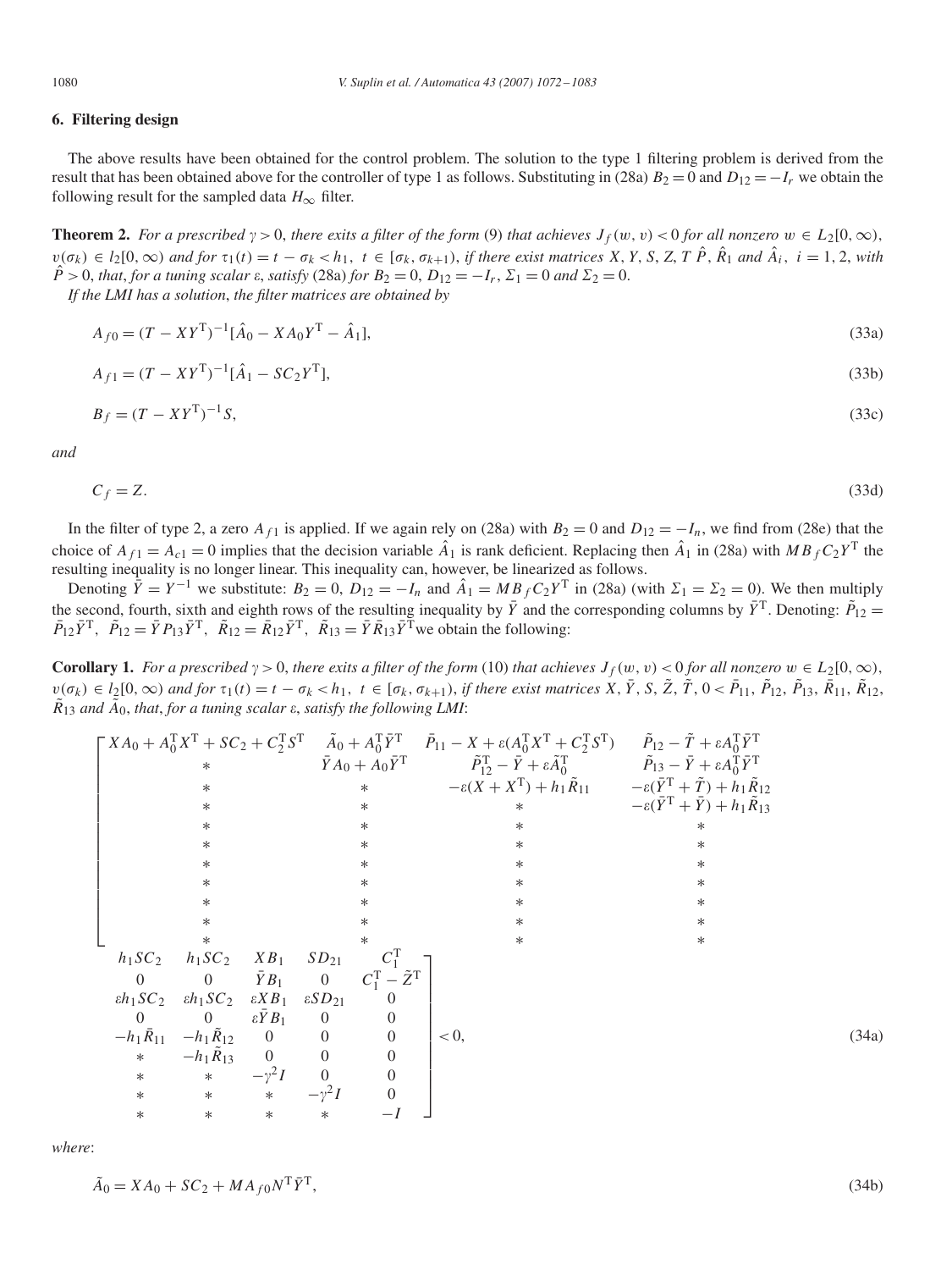# **6. Filtering design**

The above results have been obtained for the control problem. The solution to the type 1 filtering problem is derived from the result that has been obtained above for the controller of type 1 as follows. Substituting in (28a)  $B_2 = 0$  and  $D_{12} = -I_r$  we obtain the following result for the sampled data  $H_{\infty}$  filter.

**Theorem 2.** For a prescribed  $\gamma > 0$ , there exits a filter of the form (9) that achieves  $J_f(w, v) < 0$  for all nonzero  $w \in L_2[0, \infty)$ ,  $v(\sigma_k) \in l_2[0,\infty)$  and for  $\tau_1(t) = t - \sigma_k < h_1$ ,  $t \in [\sigma_k, \sigma_{k+1})$ , if there exist matrices X, Y, S, Z, T  $\hat{P}$ ,  $\hat{R}_1$  and  $\hat{A}_i$ ,  $i = 1, 2$ , with  $\hat{P} > 0$ , *that, for a tuning scalar*  $\varepsilon$ *, satisfy* (28a) *for*  $B_2 = 0$ ,  $D_{12} = -I_r$ ,  $\Sigma_1 = 0$  *and*  $\Sigma_2 = 0$ .

*If the LMI has a solution*, *the filter matrices are obtained by*

$$
A_{f0} = (T - XY^T)^{-1} [\hat{A}_0 - X A_0 Y^T - \hat{A}_1],
$$
\n(33a)

$$
A_{f1} = (T - XY^T)^{-1} [\hat{A}_1 - SC_2 Y^T], \tag{33b}
$$

$$
B_f = (T - XYT)-1S,
$$
\n(33c)

*and*

$$
C_f = Z.\tag{33d}
$$

In the filter of type 2, a zero  $A_{f1}$  is applied. If we again rely on (28a) with  $B_2 = 0$  and  $D_{12} = -I_n$ , we find from (28e) that the choice of  $A_{f1} = A_{c1} = 0$  implies that the decision variable  $\hat{A}_1$  is rank deficient. Replacing then  $\hat{A}_1$  in (28a) with *MB*<sub>f</sub>  $C_2 Y^T$  the resulting inequality is no longer linear. This inequality can, however, be linearized as follows.

Denoting  $\tilde{Y} = Y^{-1}$  we substitute:  $B_2 = 0$ ,  $D_{12} = -I_n$  and  $\hat{A}_1 = MB_f C_2 Y^T$  in (28a) (with  $\Sigma_1 = \Sigma_2 = 0$ ). We then multiply the second, fourth, sixth and eighth rows of the resulting inequality by  $\bar{Y}$  and the corresponding columns by  $\bar{Y}^T$ . Denoting:  $\tilde{P}_{12}$  =  $\overline{P}_{12}\overline{Y}^T$ ,  $\overline{P}_{12} = \overline{Y}P_{13}\overline{Y}^T$ ,  $\overline{R}_{12} = \overline{R}_{12}\overline{Y}^T$ ,  $\overline{R}_{13} = \overline{Y}R_{13}\overline{Y}^T$  we obtain the following:

**Corollary 1.** For a prescribed  $\gamma > 0$ , there exits a filter of the form (10) that achieves  $J_f(w, v) < 0$  for all nonzero  $w \in L_2[0, \infty)$ ,  $v(\sigma_k) \in l_2[0,\infty)$  and for  $\tau_1(t) = t - \sigma_k < h_1$ ,  $t \in [\sigma_k, \sigma_{k+1})$ , if there exist matrices  $X, \overline{Y}, S, \overline{Z}, \overline{T}, 0 < \overline{P}_{11}, \overline{P}_{12}, \overline{P}_{13}, \overline{R}_{11}, \overline{R}_{12},$  $\tilde{R}_{13}$  *and*  $\tilde{A}_0$ , *that*, *for a tuning scalar*  $\varepsilon$ *, satisfy the following LMI*:

|                |                                                                            |                   |                |                                   | $\begin{bmatrix} X A_0 + A_0^T X^T + S C_2 + C_2^T S^T & \tilde{A}_0 + A_0^T \tilde{Y}^T & \tilde{P}_{11} - X + \varepsilon (A_0^T X^T + C_2^T S^T) & \tilde{P}_{12} - \tilde{T} + \varepsilon A_0^T \tilde{Y}^T \end{bmatrix}$                         |                                                                |       |
|----------------|----------------------------------------------------------------------------|-------------------|----------------|-----------------------------------|---------------------------------------------------------------------------------------------------------------------------------------------------------------------------------------------------------------------------------------------------------|----------------------------------------------------------------|-------|
|                | $\ast$                                                                     |                   |                |                                   | $\overline{Y}A_0 + A_0\overline{Y}$ <sup>T</sup> $\qquad \qquad \overline{P}_{12}^{\text{T}} - \overline{Y} + \varepsilon \tilde{A}_0^{\text{T}}$ $\qquad \qquad \overline{P}_{13} - \overline{Y} + \varepsilon A_0^{\text{T}} \overline{Y}^{\text{T}}$ |                                                                |       |
|                | $\ast$                                                                     |                   |                | $\ast$                            | $-\varepsilon (X + X^{T}) + h_1 \tilde{R}_{11}$ $-\varepsilon (\bar{Y}^{T} + \tilde{T}) + h_1 \tilde{R}_{12}$                                                                                                                                           |                                                                |       |
|                | $\ast$                                                                     |                   |                | $^\ast$                           | $\ast$                                                                                                                                                                                                                                                  | $-\varepsilon(\bar{Y}^{\mathrm{T}}+\bar{Y})+h_1\tilde{R}_{13}$ |       |
|                | $\ast$                                                                     |                   |                | $\ast$                            |                                                                                                                                                                                                                                                         | ∗                                                              |       |
|                | $\ast$                                                                     |                   |                | $\ast$                            | $\ast$                                                                                                                                                                                                                                                  | ∗                                                              |       |
|                | $\ast$                                                                     |                   |                | $\ast$                            | $\ast$                                                                                                                                                                                                                                                  | $\ast$                                                         |       |
|                | $\ast$                                                                     |                   |                | $\ast$                            | $\ast$                                                                                                                                                                                                                                                  | $\ast$                                                         |       |
|                | $\ast$                                                                     |                   |                | $\ast$                            | $\ast$                                                                                                                                                                                                                                                  | $\ast$                                                         |       |
|                | $\ast$                                                                     |                   |                | $\ast$                            | $\ast$                                                                                                                                                                                                                                                  | $\ast$                                                         |       |
|                | $\ast$                                                                     |                   |                | $\ast$                            | $\ast$                                                                                                                                                                                                                                                  | $\ast$                                                         |       |
|                | $h_1SC_2$ $h_1SC_2$ $XB_1$ $SD_{21}$                                       |                   |                | $C_1^{\rm T}$                     |                                                                                                                                                                                                                                                         |                                                                |       |
| $\overline{0}$ | 0 $\bar{Y}B_1$ 0                                                           |                   |                | $C_1^{\rm T} - \tilde{Z}^{\rm T}$ |                                                                                                                                                                                                                                                         |                                                                |       |
|                | $\epsilon h_1 SC_2$ $\epsilon h_1 SC_2$ $\epsilon XB_1$ $\epsilon SD_{21}$ |                   |                |                                   |                                                                                                                                                                                                                                                         |                                                                |       |
| $\Omega$       | 0 $\epsilon \bar{Y} B_1$                                                   |                   | $\overline{0}$ | $\overline{0}$                    |                                                                                                                                                                                                                                                         |                                                                |       |
|                | $-h_1 \bar{R}_{11} - h_1 \tilde{R}_{12} = 0 \qquad 0 \qquad 0$             |                   |                |                                   | $< 0$ ,                                                                                                                                                                                                                                                 |                                                                | (34a) |
| $*$            | $-h_1R_{13}$                                                               | $0$ 0             |                |                                   |                                                                                                                                                                                                                                                         |                                                                |       |
| $*$            | * $-\gamma^2 I$                                                            |                   | $\overline{0}$ |                                   |                                                                                                                                                                                                                                                         |                                                                |       |
| $\ast$         |                                                                            | * * $-\gamma^2 I$ |                | $\boldsymbol{0}$                  |                                                                                                                                                                                                                                                         |                                                                |       |
| $\ast$         | $\ast$                                                                     | $\ast$            |                |                                   |                                                                                                                                                                                                                                                         |                                                                |       |

*where*:

$$
\tilde{A}_0 = XA_0 + SC_2 + MA_{f0}N^{\mathrm{T}}\bar{Y}^{\mathrm{T}},\tag{34b}
$$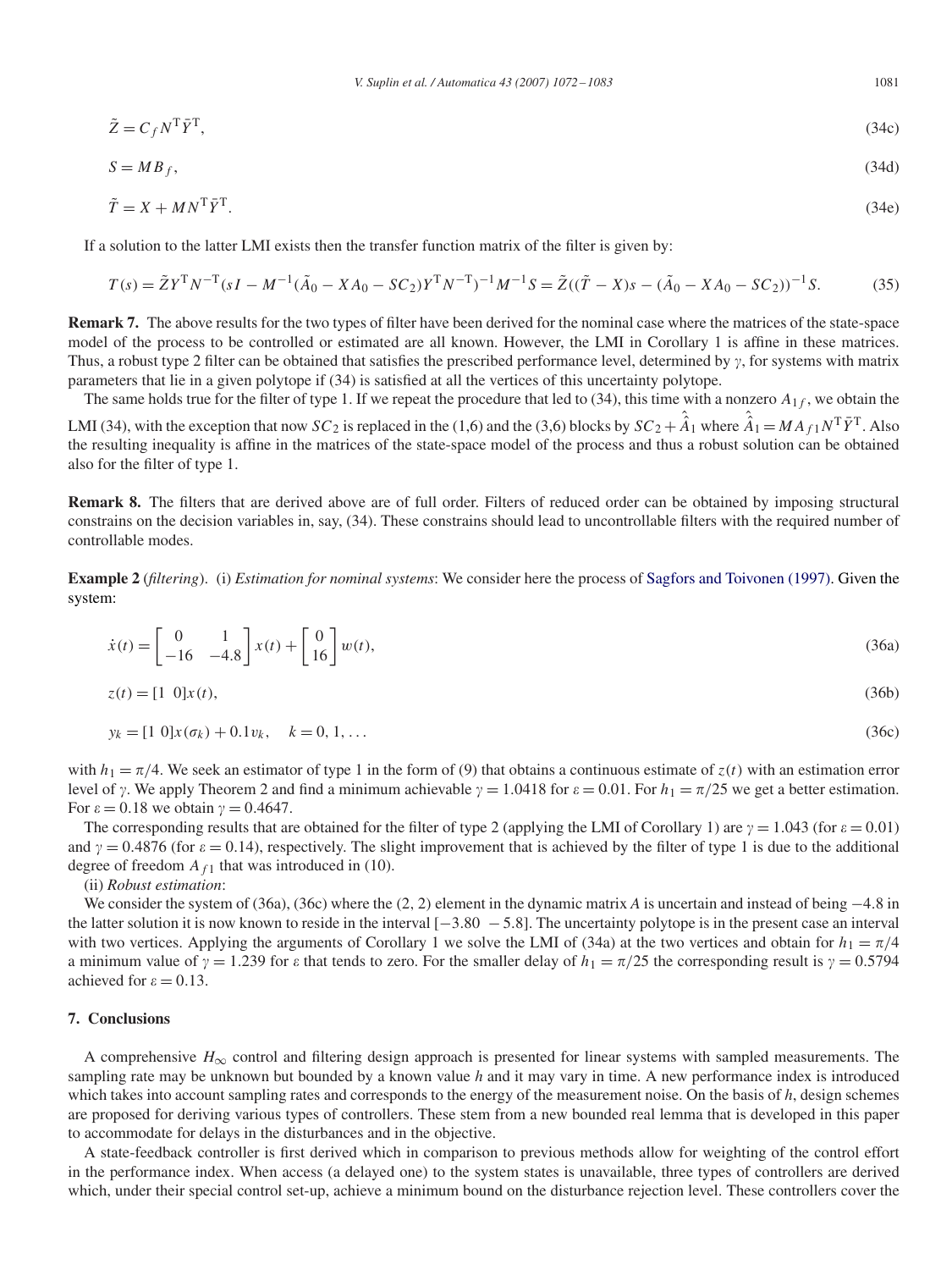*V. Suplin et al. / Automatica 43 (2007) 1072 – 1083* 1081

$$
\tilde{Z} = C_f N^{\mathrm{T}} \bar{Y}^{\mathrm{T}},\tag{34c}
$$
\n
$$
S = MB_f,\tag{34d}
$$

$$
\tilde{T} = X + MN^T \bar{Y}^T. \tag{34e}
$$

If a solution to the latter LMI exists then the transfer function matrix of the filter is given by:

$$
T(s) = \tilde{Z}Y^{T}N^{-T}(sI - M^{-1}(\tilde{A}_{0} - XA_{0} - SC_{2})Y^{T}N^{-T})^{-1}M^{-1}S = \tilde{Z}((\tilde{T} - X)s - (\tilde{A}_{0} - XA_{0} - SC_{2}))^{-1}S.
$$
 (35)

**Remark 7.** The above results for the two types of filter have been derived for the nominal case where the matrices of the state-space model of the process to be controlled or estimated are all known. However, the LMI in Corollary 1 is affine in these matrices. Thus, a robust type 2 filter can be obtained that satisfies the prescribed performance level, determined by  $\gamma$ , for systems with matrix parameters that lie in a given polytope if (34) is satisfied at all the vertices of this uncertainty polytope.

The same holds true for the filter of type 1. If we repeat the procedure that led to  $(34)$ , this time with a nonzero  $A_{1f}$ , we obtain the LMI (34), with the exception that now *SC*<sub>2</sub> is replaced in the (1,6) and the (3,6) blocks by  $SC_2 + \hat{A}_1$  where  $\hat{A}_1 = MA_{f1}N^T\bar{Y}^T$ . Also the resulting inequality is affine in the matrices of the state-space model of the process and thus a robust solution can be obtained also for the filter of type 1.

**Remark 8.** The filters that are derived above are of full order. Filters of reduced order can be obtained by imposing structural constrains on the decision variables in, say, (34). These constrains should lead to uncontrollable filters with the required number of controllable modes.

**Example 2** (*filtering*). (i) *Estimation for nominal systems*: We consider here the process of [Sagfors and Toivonen \(1997\).](#page-10-0) Given the system:

$$
\dot{x}(t) = \begin{bmatrix} 0 & 1 \\ -16 & -4.8 \end{bmatrix} x(t) + \begin{bmatrix} 0 \\ 16 \end{bmatrix} w(t),\tag{36a}
$$

$$
z(t) = [1 \ 0]x(t), \tag{36b}
$$

$$
y_k = [1 \ 0]x(\sigma_k) + 0.1v_k, \quad k = 0, 1, \dots \tag{36c}
$$

with  $h_1 = \pi/4$ . We seek an estimator of type 1 in the form of (9) that obtains a continuous estimate of  $z(t)$  with an estimation error level of  $\gamma$ . We apply Theorem 2 and find a minimum achievable  $\gamma = 1.0418$  for  $\varepsilon = 0.01$ . For  $h_1 = \pi/25$  we get a better estimation. For  $\varepsilon = 0.18$  we obtain  $\gamma = 0.4647$ .

The corresponding results that are obtained for the filter of type 2 (applying the LMI of Corollary 1) are  $\gamma = 1.043$  (for  $\varepsilon = 0.01$ ) and  $\gamma = 0.4876$  (for  $\varepsilon = 0.14$ ), respectively. The slight improvement that is achieved by the filter of type 1 is due to the additional degree of freedom  $A_{f1}$  that was introduced in (10).

(ii) *Robust estimation*:

We consider the system of (36a), (36c) where the *(*2*,* 2*)* element in the dynamic matrix *A* is uncertain and instead of being −4*.*8 in the latter solution it is now known to reside in the interval [−3*.*80 − 5*.*8]. The uncertainty polytope is in the present case an interval with two vertices. Applying the arguments of Corollary 1 we solve the LMI of (34a) at the two vertices and obtain for  $h_1 = \pi/4$ a minimum value of  $\gamma = 1.239$  for  $\varepsilon$  that tends to zero. For the smaller delay of  $h_1 = \pi/25$  the corresponding result is  $\gamma = 0.5794$ achieved for  $\varepsilon = 0.13$ .

## **7. Conclusions**

A comprehensive  $H_{\infty}$  control and filtering design approach is presented for linear systems with sampled measurements. The sampling rate may be unknown but bounded by a known value *h* and it may vary in time. A new performance index is introduced which takes into account sampling rates and corresponds to the energy of the measurement noise. On the basis of *h*, design schemes are proposed for deriving various types of controllers. These stem from a new bounded real lemma that is developed in this paper to accommodate for delays in the disturbances and in the objective.

A state-feedback controller is first derived which in comparison to previous methods allow for weighting of the control effort in the performance index. When access (a delayed one) to the system states is unavailable, three types of controllers are derived which, under their special control set-up, achieve a minimum bound on the disturbance rejection level. These controllers cover the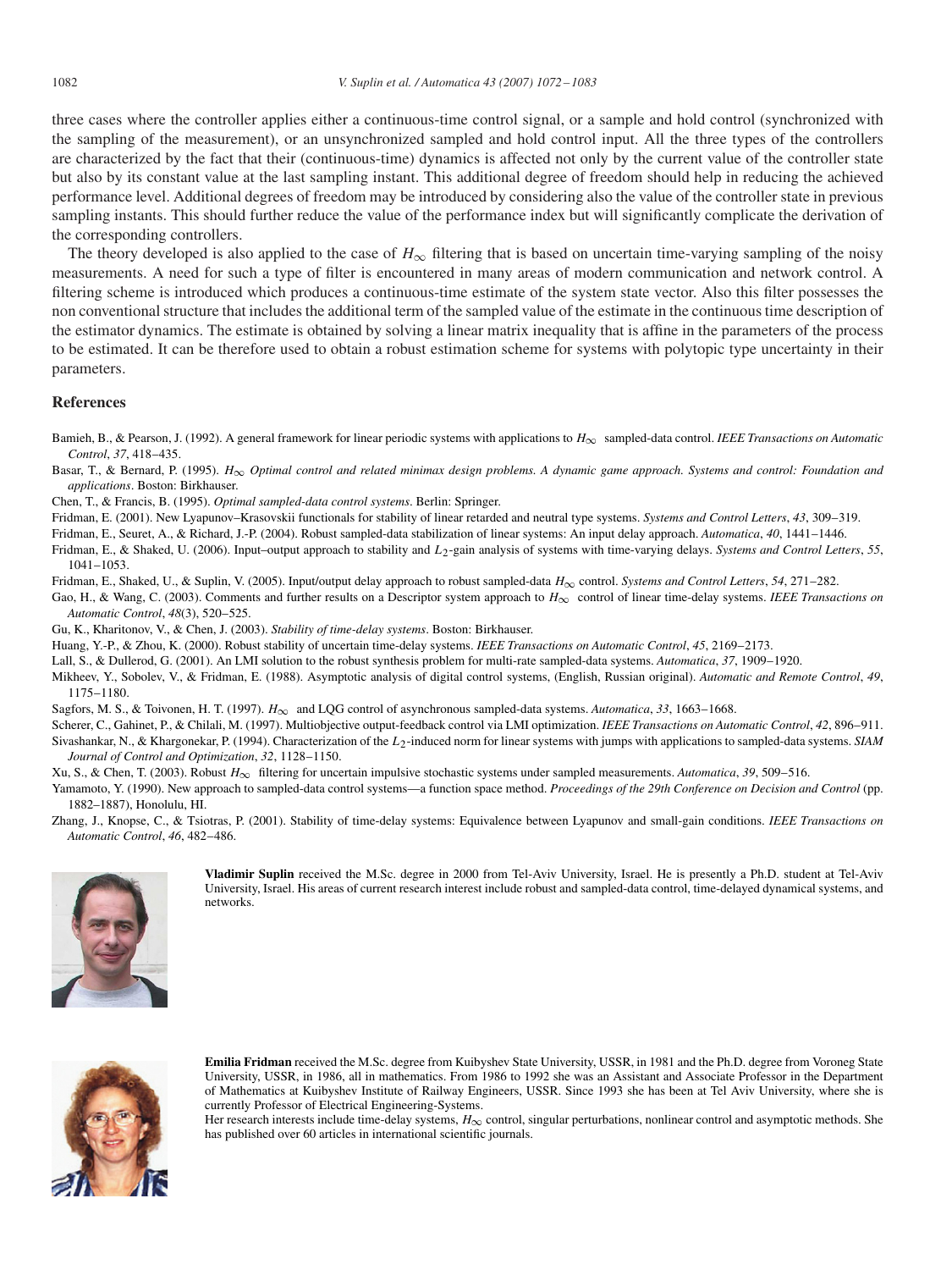<span id="page-10-0"></span>three cases where the controller applies either a continuous-time control signal, or a sample and hold control (synchronized with the sampling of the measurement), or an unsynchronized sampled and hold control input. All the three types of the controllers are characterized by the fact that their (continuous-time) dynamics is affected not only by the current value of the controller state but also by its constant value at the last sampling instant. This additional degree of freedom should help in reducing the achieved performance level. Additional degrees of freedom may be introduced by considering also the value of the controller state in previous sampling instants. This should further reduce the value of the performance index but will significantly complicate the derivation of the corresponding controllers.

The theory developed is also applied to the case of  $H_{\infty}$  filtering that is based on uncertain time-varying sampling of the noisy measurements. A need for such a type of filter is encountered in many areas of modern communication and network control. A filtering scheme is introduced which produces a continuous-time estimate of the system state vector. Also this filter possesses the non conventional structure that includes the additional term of the sampled value of the estimate in the continuous time description of the estimator dynamics. The estimate is obtained by solving a linear matrix inequality that is affine in the parameters of the process to be estimated. It can be therefore used to obtain a robust estimation scheme for systems with polytopic type uncertainty in their parameters.

## **References**

Bamieh, B., & Pearson, J. (1992). A general framework for linear periodic systems with applications to *H*<sup>∞</sup> sampled-data control. *IEEE Transactions on Automatic Control*, *37*, 418–435.

Basar, T., & Bernard, P. (1995). *H*<sup>∞</sup> *Optimal control and related minimax design problems. A dynamic game approach. Systems and control: Foundation and applications*. Boston: Birkhauser.

Chen, T., & Francis, B. (1995). *Optimal sampled-data control systems*. Berlin: Springer.

Fridman, E. (2001). New Lyapunov–Krasovskii functionals for stability of linear retarded and neutral type systems. *Systems and Control Letters*, *43*, 309–319.

Fridman, E., Seuret, A., & Richard, J.-P. (2004). Robust sampled-data stabilization of linear systems: An input delay approach. *Automatica*, *40*, 1441–1446.

Fridman, E., & Shaked, U. (2006). Input–output approach to stability and *L*2-gain analysis of systems with time-varying delays. *Systems and Control Letters*, *55*, 1041–1053.

Fridman, E., Shaked, U., & Suplin, V. (2005). Input/output delay approach to robust sampled-data *H*<sup>∞</sup> control. *Systems and Control Letters*, *54*, 271–282.

Gao, H., & Wang, C. (2003). Comments and further results on a Descriptor system approach to *H*<sub>∞</sub> control of linear time-delay systems. *IEEE Transactions on Automatic Control*, *48*(3), 520–525.

Gu, K., Kharitonov, V., & Chen, J. (2003). *Stability of time-delay systems*. Boston: Birkhauser.

Huang, Y.-P., & Zhou, K. (2000). Robust stability of uncertain time-delay systems. *IEEE Transactions on Automatic Control*, *45*, 2169–2173.

Lall, S., & Dullerod, G. (2001). An LMI solution to the robust synthesis problem for multi-rate sampled-data systems. *Automatica*, *37*, 1909–1920.

Mikheev, Y., Sobolev, V., & Fridman, E. (1988). Asymptotic analysis of digital control systems, (English, Russian original). *Automatic and Remote Control*, *49*, 1175–1180.

Sagfors, M. S., & Toivonen, H. T. (1997). *H*<sup>∞</sup> and LQG control of asynchronous sampled-data systems. *Automatica*, *33*, 1663–1668.

Scherer, C., Gahinet, P., & Chilali, M. (1997). Multiobjective output-feedback control via LMI optimization. *IEEE Transactions on Automatic Control*, *42*, 896–911. Sivashankar, N., & Khargonekar, P. (1994). Characterization of the *L*<sub>2</sub>-induced norm for linear systems with jumps with applications to sampled-data systems. *SIAM Journal of Control and Optimization*, *32*, 1128–1150.

Xu, S., & Chen, T. (2003). Robust *H*<sup>∞</sup> filtering for uncertain impulsive stochastic systems under sampled measurements. *Automatica*, *39*, 509–516.

Yamamoto, Y. (1990). New approach to sampled-data control systems—a function space method. *Proceedings of the 29th Conference on Decision and Control* (pp. 1882–1887), Honolulu, HI.

Zhang, J., Knopse, C., & Tsiotras, P. (2001). Stability of time-delay systems: Equivalence between Lyapunov and small-gain conditions. *IEEE Transactions on Automatic Control*, *46*, 482–486.



**Vladimir Suplin** received the M.Sc. degree in 2000 from Tel-Aviv University, Israel. He is presently a Ph.D. student at Tel-Aviv University, Israel. His areas of current research interest include robust and sampled-data control, time-delayed dynamical systems, and networks.



**Emilia Fridman** received the M.Sc. degree from Kuibyshev State University, USSR, in 1981 and the Ph.D. degree from Voroneg State University, USSR, in 1986, all in mathematics. From 1986 to 1992 she was an Assistant and Associate Professor in the Department of Mathematics at Kuibyshev Institute of Railway Engineers, USSR. Since 1993 she has been at Tel Aviv University, where she is currently Professor of Electrical Engineering-Systems.

Her research interests include time-delay systems,  $H_{\infty}$  control, singular perturbations, nonlinear control and asymptotic methods. She has published over 60 articles in international scientific journals.